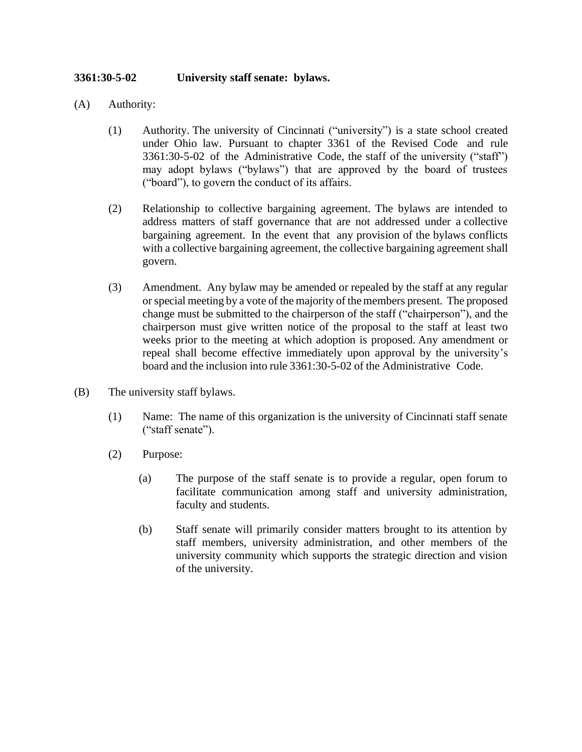## **3361:30-5-02 University staff senate: bylaws.**

- (A) Authority:
	- (1) Authority. The university of Cincinnati ("university") is a state school created under Ohio law. Pursuant to chapter 3361 of the Revised Code and rule 3361:30-5-02 of the Administrative Code, the staff of the university ("staff") may adopt bylaws ("bylaws") that are approved by the board of trustees ("board"), to govern the conduct of its affairs.
	- (2) Relationship to collective bargaining agreement. The bylaws are intended to address matters of staff governance that are not addressed under a collective bargaining agreement. In the event that any provision of the bylaws conflicts with a collective bargaining agreement, the collective bargaining agreement shall govern.
	- (3) Amendment. Any bylaw may be amended or repealed by the staff at any regular orspecial meeting by a vote of the majority of the members present. The proposed change must be submitted to the chairperson of the staff ("chairperson"), and the chairperson must give written notice of the proposal to the staff at least two weeks prior to the meeting at which adoption is proposed. Any amendment or repeal shall become effective immediately upon approval by the university's board and the inclusion into rule 3361:30-5-02 of the Administrative Code.
- (B) The university staff bylaws.
	- (1) Name: The name of this organization is the university of Cincinnati staff senate ("staff senate").
	- (2) Purpose:
		- (a) The purpose of the staff senate is to provide a regular, open forum to facilitate communication among staff and university administration, faculty and students.
		- (b) Staff senate will primarily consider matters brought to its attention by staff members, university administration, and other members of the university community which supports the strategic direction and vision of the university.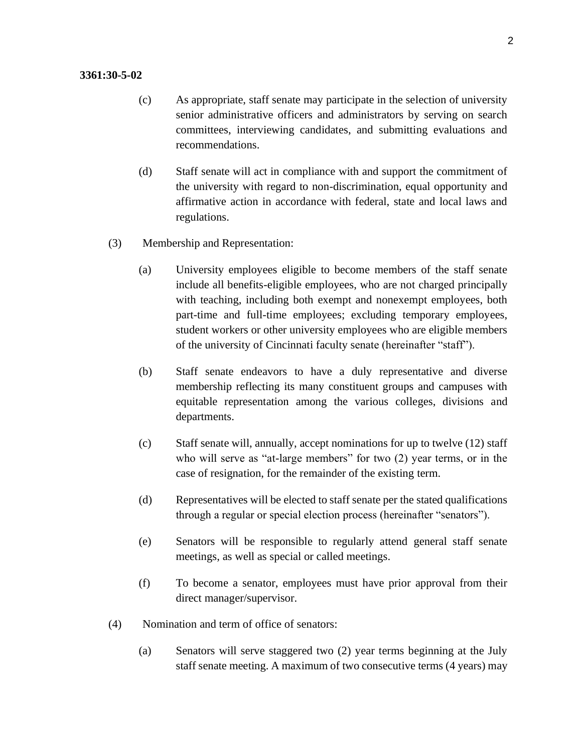## **3361:30-5-02**

- (c) As appropriate, staff senate may participate in the selection of university senior administrative officers and administrators by serving on search committees, interviewing candidates, and submitting evaluations and recommendations.
- (d) Staff senate will act in compliance with and support the commitment of the university with regard to non-discrimination, equal opportunity and affirmative action in accordance with federal, state and local laws and regulations.
- (3) Membership and Representation:
	- (a) University employees eligible to become members of the staff senate include all benefits-eligible employees, who are not charged principally with teaching, including both exempt and nonexempt employees, both part-time and full-time employees; excluding temporary employees, student workers or other university employees who are eligible members of the university of Cincinnati faculty senate (hereinafter "staff").
	- (b) Staff senate endeavors to have a duly representative and diverse membership reflecting its many constituent groups and campuses with equitable representation among the various colleges, divisions and departments.
	- (c) Staff senate will, annually, accept nominations for up to twelve (12) staff who will serve as "at-large members" for two  $(2)$  year terms, or in the case of resignation, for the remainder of the existing term.
	- (d) Representatives will be elected to staff senate per the stated qualifications through a regular or special election process (hereinafter "senators").
	- (e) Senators will be responsible to regularly attend general staff senate meetings, as well as special or called meetings.
	- (f) To become a senator, employees must have prior approval from their direct manager/supervisor.
- (4) Nomination and term of office of senators:
	- (a) Senators will serve staggered two (2) year terms beginning at the July staff senate meeting. A maximum of two consecutive terms (4 years) may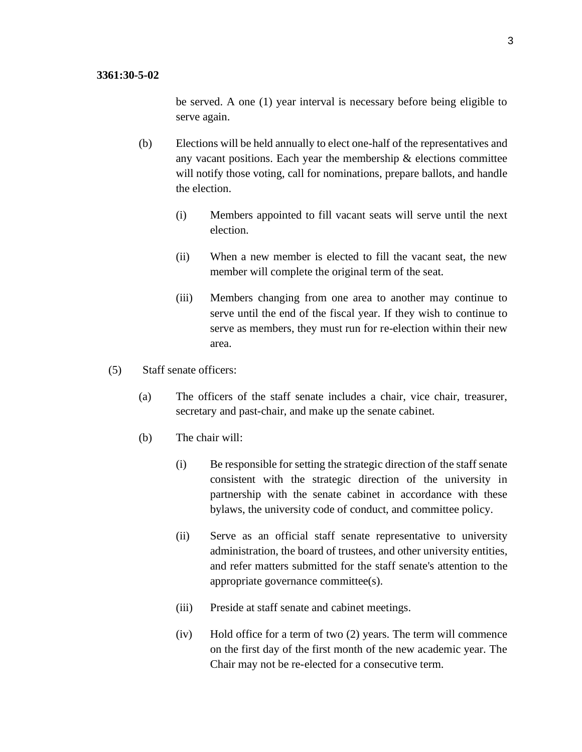be served. A one (1) year interval is necessary before being eligible to serve again.

- (b) Elections will be held annually to elect one-half of the representatives and any vacant positions. Each year the membership  $\&$  elections committee will notify those voting, call for nominations, prepare ballots, and handle the election.
	- (i) Members appointed to fill vacant seats will serve until the next election.
	- (ii) When a new member is elected to fill the vacant seat, the new member will complete the original term of the seat.
	- (iii) Members changing from one area to another may continue to serve until the end of the fiscal year. If they wish to continue to serve as members, they must run for re-election within their new area.
- (5) Staff senate officers:
	- (a) The officers of the staff senate includes a chair, vice chair, treasurer, secretary and past-chair, and make up the senate cabinet.
	- (b) The chair will:
		- (i) Be responsible for setting the strategic direction of the staff senate consistent with the strategic direction of the university in partnership with the senate cabinet in accordance with these bylaws, the university code of conduct, and committee policy.
		- (ii) Serve as an official staff senate representative to university administration, the board of trustees, and other university entities, and refer matters submitted for the staff senate's attention to the appropriate governance committee(s).
		- (iii) Preside at staff senate and cabinet meetings.
		- (iv) Hold office for a term of two (2) years. The term will commence on the first day of the first month of the new academic year. The Chair may not be re-elected for a consecutive term.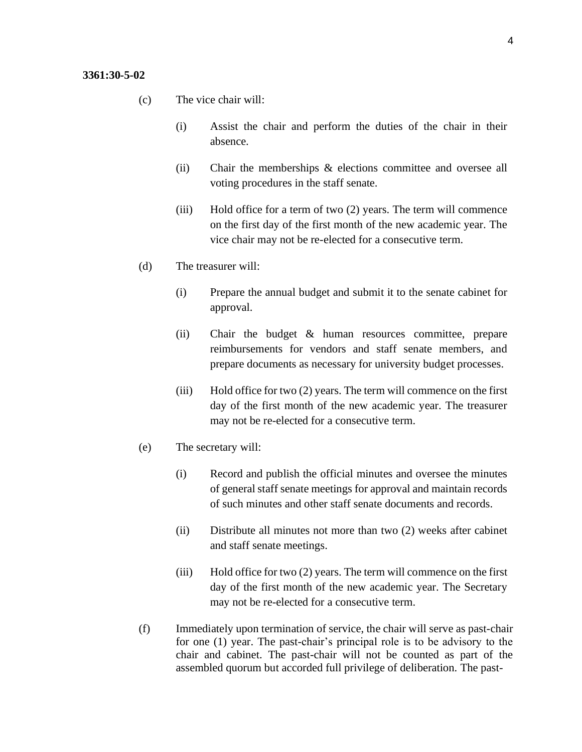- (c) The vice chair will:
	- (i) Assist the chair and perform the duties of the chair in their absence.
	- (ii) Chair the memberships & elections committee and oversee all voting procedures in the staff senate.
	- (iii) Hold office for a term of two (2) years. The term will commence on the first day of the first month of the new academic year. The vice chair may not be re-elected for a consecutive term.
- (d) The treasurer will:
	- (i) Prepare the annual budget and submit it to the senate cabinet for approval.
	- (ii) Chair the budget & human resources committee, prepare reimbursements for vendors and staff senate members, and prepare documents as necessary for university budget processes.
	- (iii) Hold office for two (2) years. The term will commence on the first day of the first month of the new academic year. The treasurer may not be re-elected for a consecutive term.
- (e) The secretary will:
	- (i) Record and publish the official minutes and oversee the minutes of general staff senate meetings for approval and maintain records of such minutes and other staff senate documents and records.
	- (ii) Distribute all minutes not more than two (2) weeks after cabinet and staff senate meetings.
	- (iii) Hold office for two (2) years. The term will commence on the first day of the first month of the new academic year. The Secretary may not be re-elected for a consecutive term.
- (f) Immediately upon termination of service, the chair will serve as past-chair for one (1) year. The past-chair's principal role is to be advisory to the chair and cabinet. The past-chair will not be counted as part of the assembled quorum but accorded full privilege of deliberation. The past-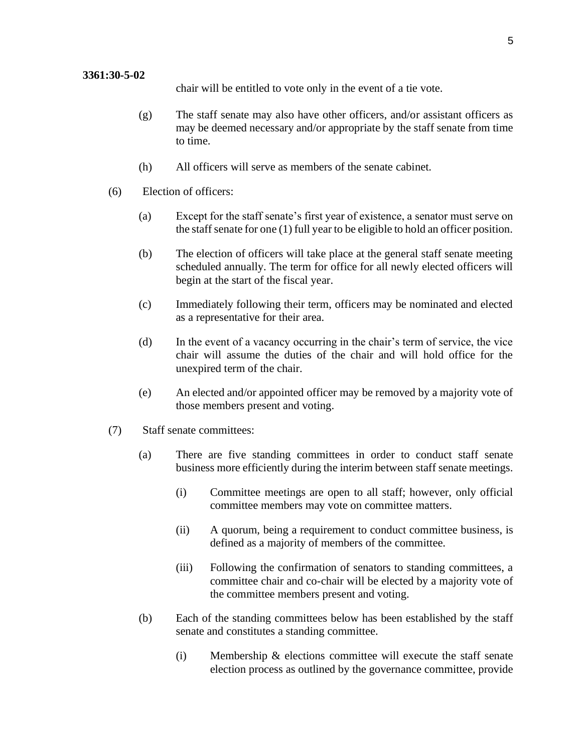chair will be entitled to vote only in the event of a tie vote.

- (g) The staff senate may also have other officers, and/or assistant officers as may be deemed necessary and/or appropriate by the staff senate from time to time.
- (h) All officers will serve as members of the senate cabinet.
- (6) Election of officers:
	- (a) Except for the staff senate's first year of existence, a senator must serve on the staff senate for one (1) full year to be eligible to hold an officer position.
	- (b) The election of officers will take place at the general staff senate meeting scheduled annually. The term for office for all newly elected officers will begin at the start of the fiscal year.
	- (c) Immediately following their term, officers may be nominated and elected as a representative for their area.
	- (d) In the event of a vacancy occurring in the chair's term of service, the vice chair will assume the duties of the chair and will hold office for the unexpired term of the chair.
	- (e) An elected and/or appointed officer may be removed by a majority vote of those members present and voting.
- (7) Staff senate committees:
	- (a) There are five standing committees in order to conduct staff senate business more efficiently during the interim between staff senate meetings.
		- (i) Committee meetings are open to all staff; however, only official committee members may vote on committee matters.
		- (ii) A quorum, being a requirement to conduct committee business, is defined as a majority of members of the committee.
		- (iii) Following the confirmation of senators to standing committees, a committee chair and co-chair will be elected by a majority vote of the committee members present and voting.
	- (b) Each of the standing committees below has been established by the staff senate and constitutes a standing committee.
		- (i) Membership & elections committee will execute the staff senate election process as outlined by the governance committee, provide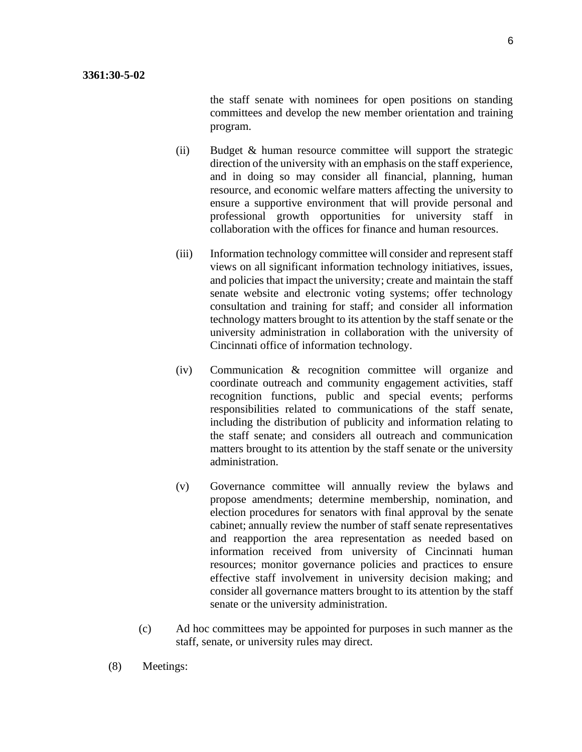the staff senate with nominees for open positions on standing committees and develop the new member orientation and training program.

- (ii) Budget & human resource committee will support the strategic direction of the university with an emphasis on the staff experience, and in doing so may consider all financial, planning, human resource, and economic welfare matters affecting the university to ensure a supportive environment that will provide personal and professional growth opportunities for university staff in collaboration with the offices for finance and human resources.
- (iii) Information technology committee will consider and represent staff views on all significant information technology initiatives, issues, and policies that impact the university; create and maintain the staff senate website and electronic voting systems; offer technology consultation and training for staff; and consider all information technology matters brought to its attention by the staff senate or the university administration in collaboration with the university of Cincinnati office of information technology.
- (iv) Communication & recognition committee will organize and coordinate outreach and community engagement activities, staff recognition functions, public and special events; performs responsibilities related to communications of the staff senate, including the distribution of publicity and information relating to the staff senate; and considers all outreach and communication matters brought to its attention by the staff senate or the university administration.
- (v) Governance committee will annually review the bylaws and propose amendments; determine membership, nomination, and election procedures for senators with final approval by the senate cabinet; annually review the number of staff senate representatives and reapportion the area representation as needed based on information received from university of Cincinnati human resources; monitor governance policies and practices to ensure effective staff involvement in university decision making; and consider all governance matters brought to its attention by the staff senate or the university administration.
- (c) Ad hoc committees may be appointed for purposes in such manner as the staff, senate, or university rules may direct.
- (8) Meetings: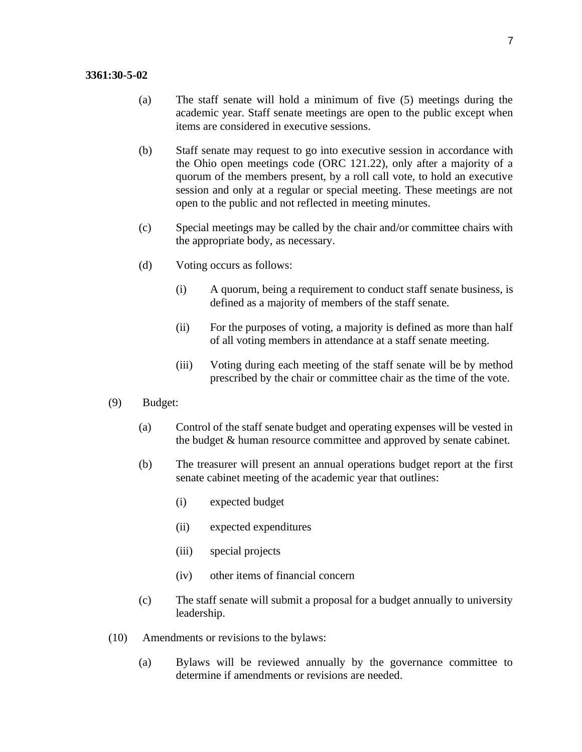## **3361:30-5-02**

- (a) The staff senate will hold a minimum of five (5) meetings during the academic year. Staff senate meetings are open to the public except when items are considered in executive sessions.
- (b) Staff senate may request to go into executive session in accordance with the Ohio open meetings code (ORC 121.22), only after a majority of a quorum of the members present, by a roll call vote, to hold an executive session and only at a regular or special meeting. These meetings are not open to the public and not reflected in meeting minutes.
- (c) Special meetings may be called by the chair and/or committee chairs with the appropriate body, as necessary.
- (d) Voting occurs as follows:
	- (i) A quorum, being a requirement to conduct staff senate business, is defined as a majority of members of the staff senate.
	- (ii) For the purposes of voting, a majority is defined as more than half of all voting members in attendance at a staff senate meeting.
	- (iii) Voting during each meeting of the staff senate will be by method prescribed by the chair or committee chair as the time of the vote.
- (9) Budget:
	- (a) Control of the staff senate budget and operating expenses will be vested in the budget & human resource committee and approved by senate cabinet.
	- (b) The treasurer will present an annual operations budget report at the first senate cabinet meeting of the academic year that outlines:
		- (i) expected budget
		- (ii) expected expenditures
		- (iii) special projects
		- (iv) other items of financial concern
	- (c) The staff senate will submit a proposal for a budget annually to university leadership.
- (10) Amendments or revisions to the bylaws:
	- (a) Bylaws will be reviewed annually by the governance committee to determine if amendments or revisions are needed.